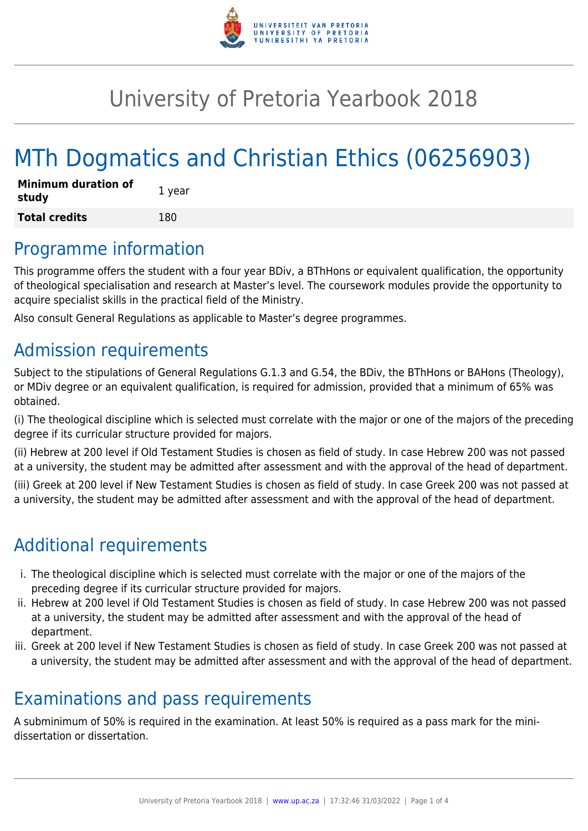

# University of Pretoria Yearbook 2018

# MTh Dogmatics and Christian Ethics (06256903)

| <b>Minimum duration of</b><br>study | 1 year |
|-------------------------------------|--------|
| <b>Total credits</b>                | 180    |

### Programme information

This programme offers the student with a four year BDiv, a BThHons or equivalent qualification, the opportunity of theological specialisation and research at Master's level. The coursework modules provide the opportunity to acquire specialist skills in the practical field of the Ministry.

Also consult General Regulations as applicable to Master's degree programmes.

### Admission requirements

Subject to the stipulations of General Regulations G.1.3 and G.54, the BDiv, the BThHons or BAHons (Theology), or MDiv degree or an equivalent qualification, is required for admission, provided that a minimum of 65% was obtained.

(i) The theological discipline which is selected must correlate with the major or one of the majors of the preceding degree if its curricular structure provided for majors.

(ii) Hebrew at 200 level if Old Testament Studies is chosen as field of study. In case Hebrew 200 was not passed at a university, the student may be admitted after assessment and with the approval of the head of department.

(iii) Greek at 200 level if New Testament Studies is chosen as field of study. In case Greek 200 was not passed at a university, the student may be admitted after assessment and with the approval of the head of department.

## Additional requirements

- i. The theological discipline which is selected must correlate with the major or one of the majors of the preceding degree if its curricular structure provided for majors.
- ii. Hebrew at 200 level if Old Testament Studies is chosen as field of study. In case Hebrew 200 was not passed at a university, the student may be admitted after assessment and with the approval of the head of department.
- iii. Greek at 200 level if New Testament Studies is chosen as field of study. In case Greek 200 was not passed at a university, the student may be admitted after assessment and with the approval of the head of department.

### Examinations and pass requirements

A subminimum of 50% is required in the examination. At least 50% is required as a pass mark for the minidissertation or dissertation.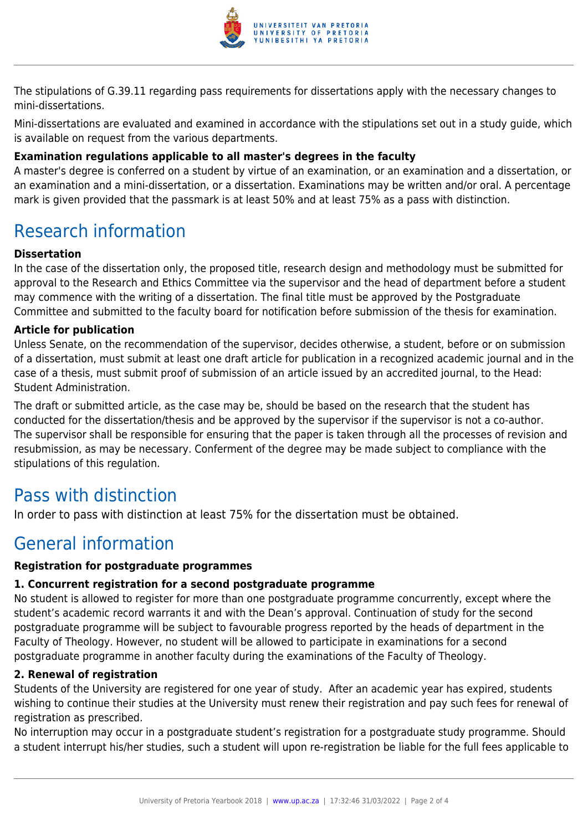

The stipulations of G.39.11 regarding pass requirements for dissertations apply with the necessary changes to mini-dissertations.

Mini-dissertations are evaluated and examined in accordance with the stipulations set out in a study guide, which is available on request from the various departments.

#### **Examination regulations applicable to all master's degrees in the faculty**

A master's degree is conferred on a student by virtue of an examination, or an examination and a dissertation, or an examination and a mini-dissertation, or a dissertation. Examinations may be written and/or oral. A percentage mark is given provided that the passmark is at least 50% and at least 75% as a pass with distinction.

## Research information

#### **Dissertation**

In the case of the dissertation only, the proposed title, research design and methodology must be submitted for approval to the Research and Ethics Committee via the supervisor and the head of department before a student may commence with the writing of a dissertation. The final title must be approved by the Postgraduate Committee and submitted to the faculty board for notification before submission of the thesis for examination.

#### **Article for publication**

Unless Senate, on the recommendation of the supervisor, decides otherwise, a student, before or on submission of a dissertation, must submit at least one draft article for publication in a recognized academic journal and in the case of a thesis, must submit proof of submission of an article issued by an accredited journal, to the Head: Student Administration.

The draft or submitted article, as the case may be, should be based on the research that the student has conducted for the dissertation/thesis and be approved by the supervisor if the supervisor is not a co-author. The supervisor shall be responsible for ensuring that the paper is taken through all the processes of revision and resubmission, as may be necessary. Conferment of the degree may be made subject to compliance with the stipulations of this regulation.

### Pass with distinction

In order to pass with distinction at least 75% for the dissertation must be obtained.

### General information

#### **Registration for postgraduate programmes**

#### **1. Concurrent registration for a second postgraduate programme**

No student is allowed to register for more than one postgraduate programme concurrently, except where the student's academic record warrants it and with the Dean's approval. Continuation of study for the second postgraduate programme will be subject to favourable progress reported by the heads of department in the Faculty of Theology. However, no student will be allowed to participate in examinations for a second postgraduate programme in another faculty during the examinations of the Faculty of Theology.

#### **2. Renewal of registration**

Students of the University are registered for one year of study. After an academic year has expired, students wishing to continue their studies at the University must renew their registration and pay such fees for renewal of registration as prescribed.

No interruption may occur in a postgraduate student's registration for a postgraduate study programme. Should a student interrupt his/her studies, such a student will upon re-registration be liable for the full fees applicable to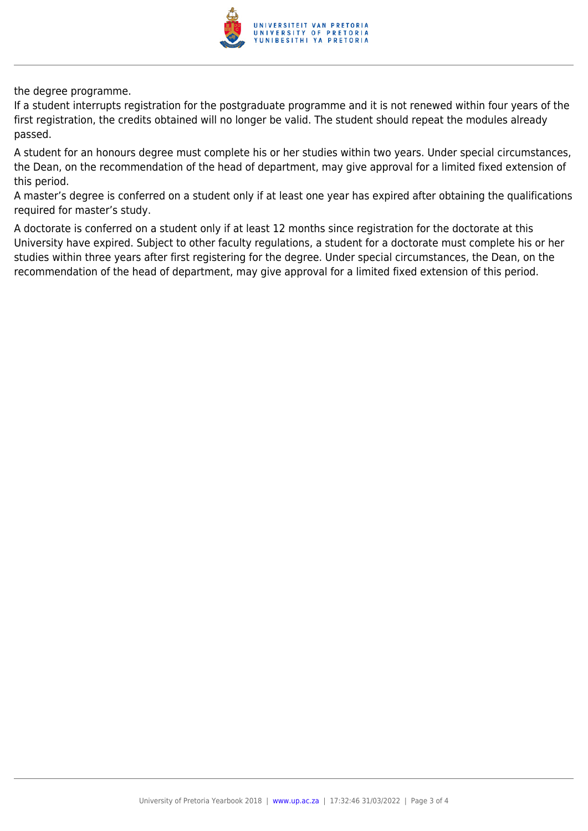

the degree programme.

If a student interrupts registration for the postgraduate programme and it is not renewed within four years of the first registration, the credits obtained will no longer be valid. The student should repeat the modules already passed.

A student for an honours degree must complete his or her studies within two years. Under special circumstances, the Dean, on the recommendation of the head of department, may give approval for a limited fixed extension of this period.

A master's degree is conferred on a student only if at least one year has expired after obtaining the qualifications required for master's study.

A doctorate is conferred on a student only if at least 12 months since registration for the doctorate at this University have expired. Subject to other faculty regulations, a student for a doctorate must complete his or her studies within three years after first registering for the degree. Under special circumstances, the Dean, on the recommendation of the head of department, may give approval for a limited fixed extension of this period.